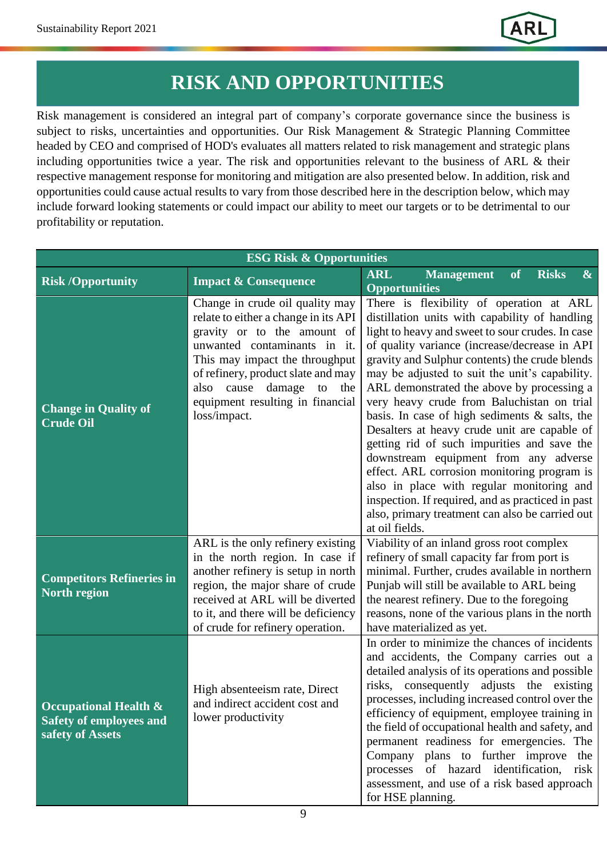## **RISK AND OPPORTUNITIES**

Risk management is considered an integral part of company's corporate governance since the business is subject to risks, uncertainties and opportunities. Our Risk Management & Strategic Planning Committee headed by CEO and comprised of HOD's evaluates all matters related to risk management and strategic plans including opportunities twice a year. The risk and opportunities relevant to the business of ARL & their respective management response for monitoring and mitigation are also presented below. In addition, risk and opportunities could cause actual results to vary from those described here in the description below, which may include forward looking statements or could impact our ability to meet our targets or to be detrimental to our profitability or reputation.

| <b>ESG Risk &amp; Opportunities</b>                                                    |                                                                                                                                                                                                                                                                                                         |                                                                                                                                                                                                                                                                                                                                                                                                                                                                                                                                                                                                                                                                                                                                                                                                                   |
|----------------------------------------------------------------------------------------|---------------------------------------------------------------------------------------------------------------------------------------------------------------------------------------------------------------------------------------------------------------------------------------------------------|-------------------------------------------------------------------------------------------------------------------------------------------------------------------------------------------------------------------------------------------------------------------------------------------------------------------------------------------------------------------------------------------------------------------------------------------------------------------------------------------------------------------------------------------------------------------------------------------------------------------------------------------------------------------------------------------------------------------------------------------------------------------------------------------------------------------|
| <b>Risk /Opportunity</b>                                                               | <b>Impact &amp; Consequence</b>                                                                                                                                                                                                                                                                         | <b>ARL</b><br><b>Management</b><br>$\overline{\textbf{of}}$<br>$\boldsymbol{\&}$<br><b>Risks</b>                                                                                                                                                                                                                                                                                                                                                                                                                                                                                                                                                                                                                                                                                                                  |
|                                                                                        |                                                                                                                                                                                                                                                                                                         | <b>Opportunities</b>                                                                                                                                                                                                                                                                                                                                                                                                                                                                                                                                                                                                                                                                                                                                                                                              |
| <b>Change in Quality of</b><br><b>Crude Oil</b>                                        | Change in crude oil quality may<br>relate to either a change in its API<br>gravity or to the amount of<br>unwanted contaminants in it.<br>This may impact the throughput<br>of refinery, product slate and may<br>damage<br>also cause<br>the<br>to<br>equipment resulting in financial<br>loss/impact. | There is flexibility of operation at ARL<br>distillation units with capability of handling<br>light to heavy and sweet to sour crudes. In case<br>of quality variance (increase/decrease in API<br>gravity and Sulphur contents) the crude blends<br>may be adjusted to suit the unit's capability.<br>ARL demonstrated the above by processing a<br>very heavy crude from Baluchistan on trial<br>basis. In case of high sediments $\&$ salts, the<br>Desalters at heavy crude unit are capable of<br>getting rid of such impurities and save the<br>downstream equipment from any adverse<br>effect. ARL corrosion monitoring program is<br>also in place with regular monitoring and<br>inspection. If required, and as practiced in past<br>also, primary treatment can also be carried out<br>at oil fields. |
| <b>Competitors Refineries in</b><br><b>North region</b>                                | ARL is the only refinery existing<br>in the north region. In case if<br>another refinery is setup in north<br>region, the major share of crude<br>received at ARL will be diverted<br>to it, and there will be deficiency<br>of crude for refinery operation.                                           | Viability of an inland gross root complex<br>refinery of small capacity far from port is<br>minimal. Further, crudes available in northern<br>Punjab will still be available to ARL being<br>the nearest refinery. Due to the foregoing<br>reasons, none of the various plans in the north<br>have materialized as yet.                                                                                                                                                                                                                                                                                                                                                                                                                                                                                           |
| <b>Occupational Health &amp;</b><br><b>Safety of employees and</b><br>safety of Assets | High absenteeism rate, Direct<br>and indirect accident cost and<br>lower productivity                                                                                                                                                                                                                   | In order to minimize the chances of incidents<br>and accidents, the Company carries out a<br>detailed analysis of its operations and possible<br>risks, consequently adjusts the existing<br>processes, including increased control over the<br>efficiency of equipment, employee training in<br>the field of occupational health and safety, and<br>permanent readiness for emergencies. The<br>Company plans to further improve the<br>processes of hazard identification, risk<br>assessment, and use of a risk based approach<br>for HSE planning.                                                                                                                                                                                                                                                            |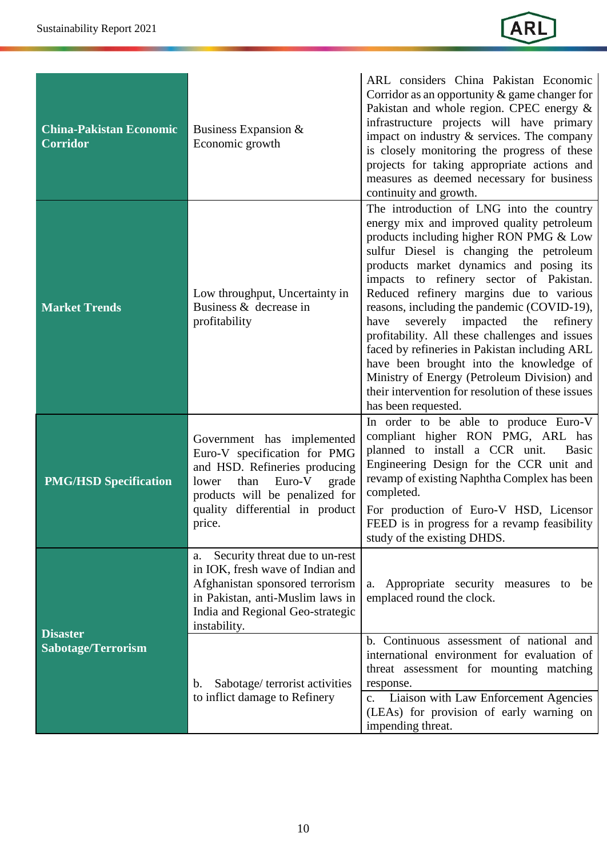

| <b>China-Pakistan Economic</b><br><b>Corridor</b> | Business Expansion $&$<br>Economic growth                                                                                                                                                                      | ARL considers China Pakistan Economic<br>Corridor as an opportunity $\&$ game changer for<br>Pakistan and whole region. CPEC energy &<br>infrastructure projects will have primary<br>impact on industry $\&$ services. The company<br>is closely monitoring the progress of these<br>projects for taking appropriate actions and<br>measures as deemed necessary for business<br>continuity and growth.                                                                                                                                                                                                                                                                          |
|---------------------------------------------------|----------------------------------------------------------------------------------------------------------------------------------------------------------------------------------------------------------------|-----------------------------------------------------------------------------------------------------------------------------------------------------------------------------------------------------------------------------------------------------------------------------------------------------------------------------------------------------------------------------------------------------------------------------------------------------------------------------------------------------------------------------------------------------------------------------------------------------------------------------------------------------------------------------------|
| <b>Market Trends</b>                              | Low throughput, Uncertainty in<br>Business & decrease in<br>profitability                                                                                                                                      | The introduction of LNG into the country<br>energy mix and improved quality petroleum<br>products including higher RON PMG & Low<br>sulfur Diesel is changing the petroleum<br>products market dynamics and posing its<br>impacts to refinery sector of Pakistan.<br>Reduced refinery margins due to various<br>reasons, including the pandemic (COVID-19),<br>severely impacted the<br>refinery<br>have<br>profitability. All these challenges and issues<br>faced by refineries in Pakistan including ARL<br>have been brought into the knowledge of<br>Ministry of Energy (Petroleum Division) and<br>their intervention for resolution of these issues<br>has been requested. |
| <b>PMG/HSD Specification</b>                      | Government has implemented<br>Euro-V specification for PMG<br>and HSD. Refineries producing<br>Euro-V<br>than<br>grade<br>lower<br>products will be penalized for<br>quality differential in product<br>price. | In order to be able to produce Euro-V<br>compliant higher RON PMG, ARL has<br>planned to install a CCR unit.<br>Basic<br>Engineering Design for the CCR unit and<br>revamp of existing Naphtha Complex has been<br>completed.<br>For production of Euro-V HSD, Licensor<br>FEED is in progress for a revamp feasibility<br>study of the existing DHDS.                                                                                                                                                                                                                                                                                                                            |
| <b>Disaster</b><br><b>Sabotage/Terrorism</b>      | Security threat due to un-rest<br>a.<br>in IOK, fresh wave of Indian and<br>Afghanistan sponsored terrorism<br>in Pakistan, anti-Muslim laws in<br>India and Regional Geo-strategic<br>instability.            | Appropriate security measures to<br>be<br>a.<br>emplaced round the clock.                                                                                                                                                                                                                                                                                                                                                                                                                                                                                                                                                                                                         |
|                                                   | Sabotage/ terrorist activities<br>b.<br>to inflict damage to Refinery                                                                                                                                          | b. Continuous assessment of national and<br>international environment for evaluation of<br>threat assessment for mounting matching<br>response.<br>Liaison with Law Enforcement Agencies<br>$\mathbf{c}$ .<br>(LEAs) for provision of early warning on<br>impending threat.                                                                                                                                                                                                                                                                                                                                                                                                       |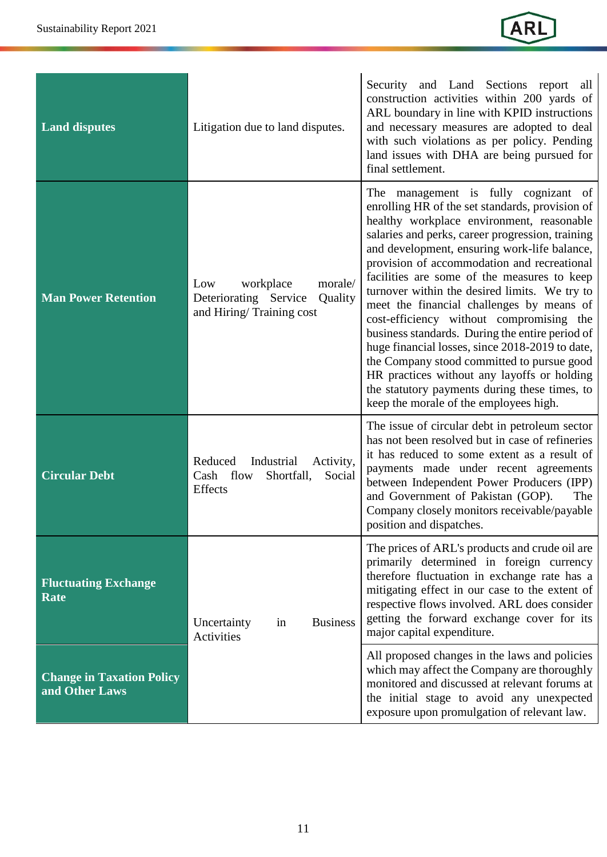

| <b>Land disputes</b>                               | Litigation due to land disputes.                                                            | Security and Land Sections report all<br>construction activities within 200 yards of<br>ARL boundary in line with KPID instructions<br>and necessary measures are adopted to deal<br>with such violations as per policy. Pending<br>land issues with DHA are being pursued for<br>final settlement.                                                                                                                                                                                                                                                                                                                                                                                                                                                                            |
|----------------------------------------------------|---------------------------------------------------------------------------------------------|--------------------------------------------------------------------------------------------------------------------------------------------------------------------------------------------------------------------------------------------------------------------------------------------------------------------------------------------------------------------------------------------------------------------------------------------------------------------------------------------------------------------------------------------------------------------------------------------------------------------------------------------------------------------------------------------------------------------------------------------------------------------------------|
| <b>Man Power Retention</b>                         | workplace<br>Low<br>morale/<br>Deteriorating Service<br>Quality<br>and Hiring/Training cost | The management is fully cognizant of<br>enrolling HR of the set standards, provision of<br>healthy workplace environment, reasonable<br>salaries and perks, career progression, training<br>and development, ensuring work-life balance,<br>provision of accommodation and recreational<br>facilities are some of the measures to keep<br>turnover within the desired limits. We try to<br>meet the financial challenges by means of<br>cost-efficiency without compromising the<br>business standards. During the entire period of<br>huge financial losses, since 2018-2019 to date,<br>the Company stood committed to pursue good<br>HR practices without any layoffs or holding<br>the statutory payments during these times, to<br>keep the morale of the employees high. |
| <b>Circular Debt</b>                               | Reduced<br>Industrial<br>Activity,<br>Cash flow<br>Shortfall,<br>Social<br>Effects          | The issue of circular debt in petroleum sector<br>has not been resolved but in case of refineries<br>it has reduced to some extent as a result of<br>payments made under recent agreements<br>between Independent Power Producers (IPP)<br>and Government of Pakistan (GOP).<br>The<br>Company closely monitors receivable/payable<br>position and dispatches.                                                                                                                                                                                                                                                                                                                                                                                                                 |
| <b>Fluctuating Exchange</b><br><b>Rate</b>         | <b>Business</b><br>Uncertainty<br>in<br>Activities                                          | The prices of ARL's products and crude oil are<br>primarily determined in foreign currency<br>therefore fluctuation in exchange rate has a<br>mitigating effect in our case to the extent of<br>respective flows involved. ARL does consider<br>getting the forward exchange cover for its<br>major capital expenditure.                                                                                                                                                                                                                                                                                                                                                                                                                                                       |
| <b>Change in Taxation Policy</b><br>and Other Laws |                                                                                             | All proposed changes in the laws and policies<br>which may affect the Company are thoroughly<br>monitored and discussed at relevant forums at<br>the initial stage to avoid any unexpected<br>exposure upon promulgation of relevant law.                                                                                                                                                                                                                                                                                                                                                                                                                                                                                                                                      |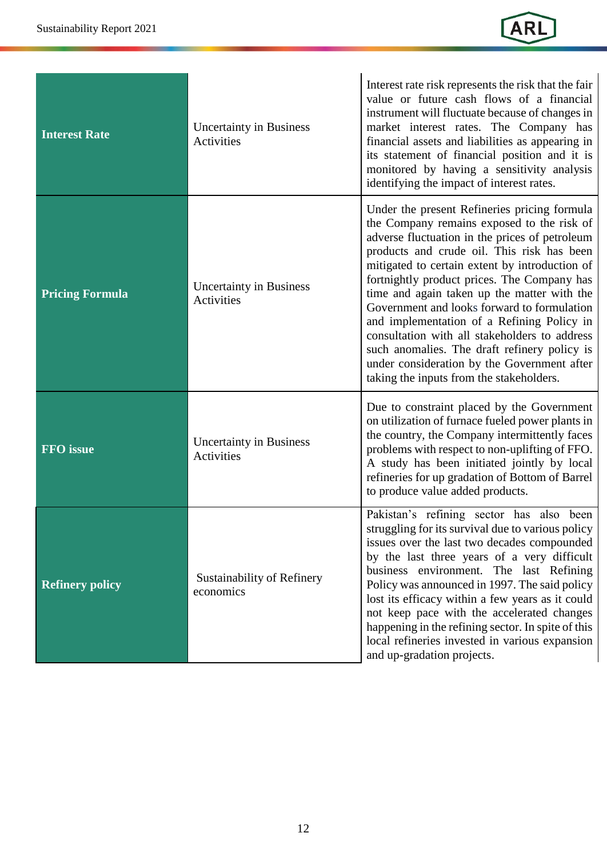

| <b>Interest Rate</b>   | <b>Uncertainty in Business</b><br>Activities | Interest rate risk represents the risk that the fair<br>value or future cash flows of a financial<br>instrument will fluctuate because of changes in<br>market interest rates. The Company has<br>financial assets and liabilities as appearing in<br>its statement of financial position and it is<br>monitored by having a sensitivity analysis<br>identifying the impact of interest rates.                                                                                                                                                                                                                                      |
|------------------------|----------------------------------------------|-------------------------------------------------------------------------------------------------------------------------------------------------------------------------------------------------------------------------------------------------------------------------------------------------------------------------------------------------------------------------------------------------------------------------------------------------------------------------------------------------------------------------------------------------------------------------------------------------------------------------------------|
| <b>Pricing Formula</b> | <b>Uncertainty in Business</b><br>Activities | Under the present Refineries pricing formula<br>the Company remains exposed to the risk of<br>adverse fluctuation in the prices of petroleum<br>products and crude oil. This risk has been<br>mitigated to certain extent by introduction of<br>fortnightly product prices. The Company has<br>time and again taken up the matter with the<br>Government and looks forward to formulation<br>and implementation of a Refining Policy in<br>consultation with all stakeholders to address<br>such anomalies. The draft refinery policy is<br>under consideration by the Government after<br>taking the inputs from the stakeholders. |
| <b>FFO</b> issue       | <b>Uncertainty in Business</b><br>Activities | Due to constraint placed by the Government<br>on utilization of furnace fueled power plants in<br>the country, the Company intermittently faces<br>problems with respect to non-uplifting of FFO.<br>A study has been initiated jointly by local<br>refineries for up gradation of Bottom of Barrel<br>to produce value added products.                                                                                                                                                                                                                                                                                             |
| <b>Refinery policy</b> | Sustainability of Refinery<br>economics      | Pakistan's refining sector has also been<br>struggling for its survival due to various policy<br>issues over the last two decades compounded<br>by the last three years of a very difficult<br>business environment. The last Refining<br>Policy was announced in 1997. The said policy<br>lost its efficacy within a few years as it could<br>not keep pace with the accelerated changes<br>happening in the refining sector. In spite of this<br>local refineries invested in various expansion<br>and up-gradation projects.                                                                                                     |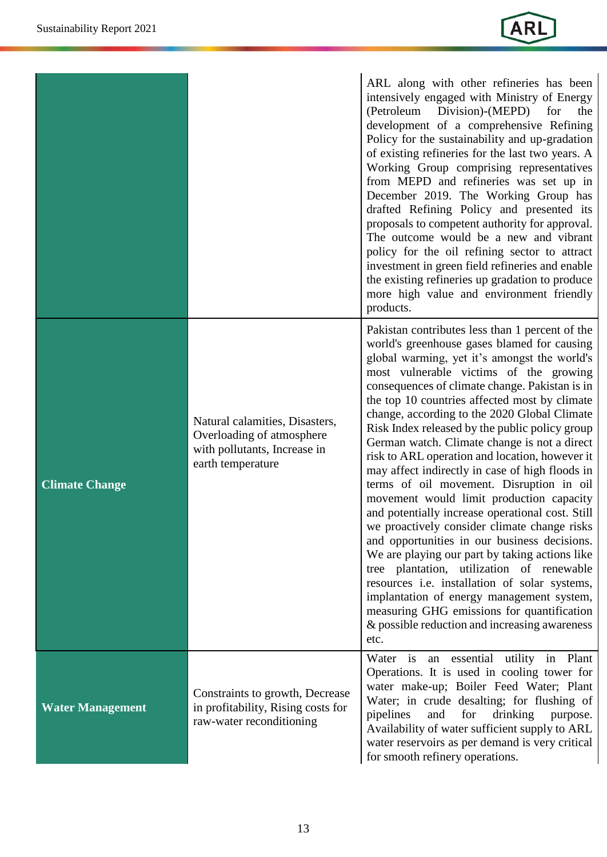|                         |                                                                                                                  | ARL along with other refineries has been<br>intensively engaged with Ministry of Energy<br>(Petroleum<br>Division)-(MEPD)<br>for<br>the<br>development of a comprehensive Refining<br>Policy for the sustainability and up-gradation<br>of existing refineries for the last two years. A<br>Working Group comprising representatives<br>from MEPD and refineries was set up in<br>December 2019. The Working Group has<br>drafted Refining Policy and presented its<br>proposals to competent authority for approval.<br>The outcome would be a new and vibrant<br>policy for the oil refining sector to attract<br>investment in green field refineries and enable<br>the existing refineries up gradation to produce<br>more high value and environment friendly<br>products.                                                                                                                                                                                                                                                                                                                    |
|-------------------------|------------------------------------------------------------------------------------------------------------------|----------------------------------------------------------------------------------------------------------------------------------------------------------------------------------------------------------------------------------------------------------------------------------------------------------------------------------------------------------------------------------------------------------------------------------------------------------------------------------------------------------------------------------------------------------------------------------------------------------------------------------------------------------------------------------------------------------------------------------------------------------------------------------------------------------------------------------------------------------------------------------------------------------------------------------------------------------------------------------------------------------------------------------------------------------------------------------------------------|
| <b>Climate Change</b>   | Natural calamities, Disasters,<br>Overloading of atmosphere<br>with pollutants, Increase in<br>earth temperature | Pakistan contributes less than 1 percent of the<br>world's greenhouse gases blamed for causing<br>global warming, yet it's amongst the world's<br>most vulnerable victims of the growing<br>consequences of climate change. Pakistan is in<br>the top 10 countries affected most by climate<br>change, according to the 2020 Global Climate<br>Risk Index released by the public policy group<br>German watch. Climate change is not a direct<br>risk to ARL operation and location, however it<br>may affect indirectly in case of high floods in<br>terms of oil movement. Disruption in oil<br>movement would limit production capacity<br>and potentially increase operational cost. Still<br>we proactively consider climate change risks<br>and opportunities in our business decisions.<br>We are playing our part by taking actions like<br>tree plantation, utilization of renewable<br>resources i.e. installation of solar systems,<br>implantation of energy management system,<br>measuring GHG emissions for quantification<br>& possible reduction and increasing awareness<br>etc. |
| <b>Water Management</b> | Constraints to growth, Decrease<br>in profitability, Rising costs for<br>raw-water reconditioning                | Water is an essential utility in Plant<br>Operations. It is used in cooling tower for<br>water make-up; Boiler Feed Water; Plant<br>Water; in crude desalting; for flushing of<br>for<br>drinking<br>pipelines<br>and<br>purpose.<br>Availability of water sufficient supply to ARL<br>water reservoirs as per demand is very critical<br>for smooth refinery operations.                                                                                                                                                                                                                                                                                                                                                                                                                                                                                                                                                                                                                                                                                                                          |